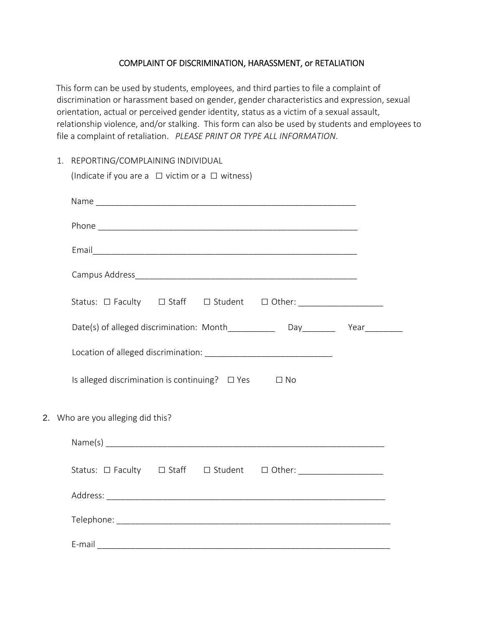## COMPLAINT OF DISCRIMINATION, HARASSMENT, or RETALIATION

This form can be used by students, employees, and third parties to file a complaint of discrimination or harassment based on gender, gender characteristics and expression, sexual orientation, actual or perceived gender identity, status as a victim of a sexual assault, relationship violence, and/or stalking. This form can also be used by students and employees to file a complaint of retaliation. *PLEASE PRINT OR TYPE ALL INFORMATION*.

1. REPORTING/COMPLAINING INDIVIDUAL

| (Indicate if you are a $\Box$ victim or a $\Box$ witness)                       |
|---------------------------------------------------------------------------------|
|                                                                                 |
|                                                                                 |
|                                                                                 |
|                                                                                 |
| Status: O Faculty  O Staff  O Student  O Other: ___________________             |
| Date(s) of alleged discrimination: Month_____________ Day________ Year_________ |
|                                                                                 |
| Is alleged discrimination is continuing? $\Box$ Yes $\Box$ No                   |
| 2. Who are you alleging did this?                                               |
|                                                                                 |
| Status: O Faculty  O Staff  O Student  O Other: ___________________             |
|                                                                                 |
|                                                                                 |
|                                                                                 |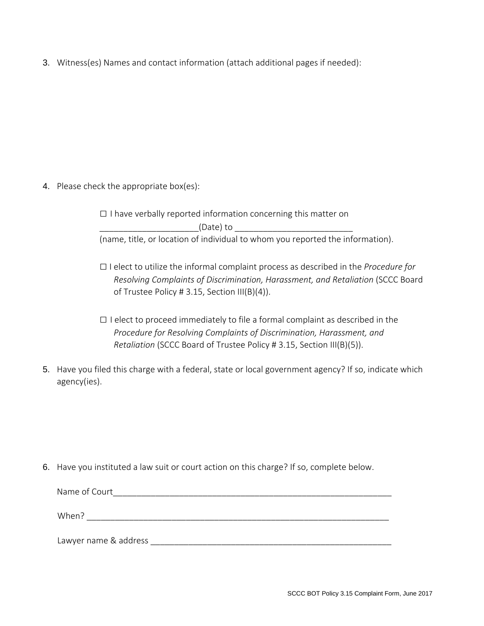3. Witness(es) Names and contact information (attach additional pages if needed):

4. Please check the appropriate box(es):

□ I have verbally reported information concerning this matter on  $(Date)$  to (name, title, or location of individual to whom you reported the information).

- □ I elect to utilize the informal complaint process as described in the *Procedure for Resolving Complaints of Discrimination, Harassment, and Retaliation* (SCCC Board of Trustee Policy # 3.15, Section III(B)(4)).
- $\Box$  I elect to proceed immediately to file a formal complaint as described in the *Procedure for Resolving Complaints of Discrimination, Harassment, and Retaliation* (SCCC Board of Trustee Policy # 3.15, Section III(B)(5)).
- 5. Have you filed this charge with a federal, state or local government agency? If so, indicate which agency(ies).

6. Have you instituted a law suit or court action on this charge? If so, complete below.

Lawyer name & address \_\_\_\_\_\_\_\_\_\_\_\_\_\_\_\_\_\_\_\_\_\_\_\_\_\_\_\_\_\_\_\_\_\_\_\_\_\_\_\_\_\_\_\_\_\_\_\_\_\_\_

| Name of Court |  |  |  |
|---------------|--|--|--|
| When?         |  |  |  |

SCCC BOT Policy 3.15 Complaint Form, June 2017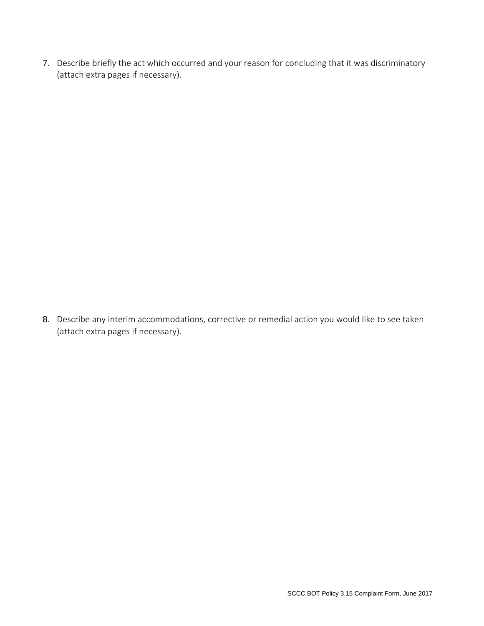7. Describe briefly the act which occurred and your reason for concluding that it was discriminatory (attach extra pages if necessary).

8. Describe any interim accommodations, corrective or remedial action you would like to see taken (attach extra pages if necessary).